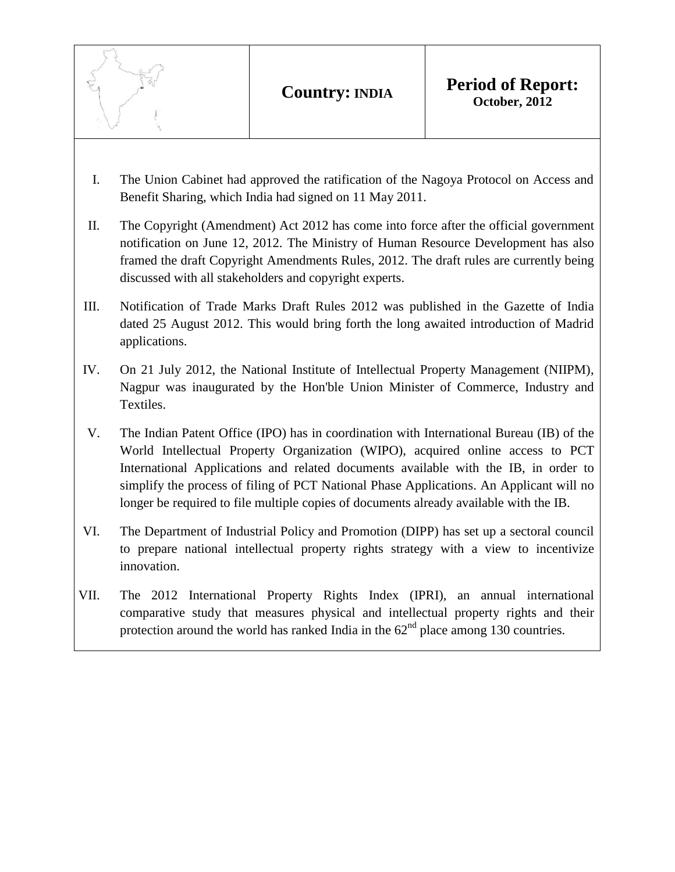- I. The Union Cabinet had approved the ratification of the Nagoya Protocol on Access and Benefit Sharing, which India had signed on 11 May 2011.
- II. The Copyright (Amendment) Act 2012 has come into force after the official government notification on June 12, 2012. The Ministry of Human Resource Development has also framed the draft Copyright Amendments Rules, 2012. The draft rules are currently being discussed with all stakeholders and copyright experts.
- III. Notification of Trade Marks Draft Rules 2012 was published in the Gazette of India dated 25 August 2012. This would bring forth the long awaited introduction of Madrid applications.
- IV. On 21 July 2012, the National Institute of Intellectual Property Management (NIIPM), Nagpur was inaugurated by the Hon'ble Union Minister of Commerce, Industry and Textiles.
- V. The Indian Patent Office (IPO) has in coordination with International Bureau (IB) of the World Intellectual Property Organization (WIPO), acquired online access to PCT International Applications and related documents available with the IB, in order to simplify the process of filing of PCT National Phase Applications. An Applicant will no longer be required to file multiple copies of documents already available with the IB.
- VI. The Department of Industrial Policy and Promotion (DIPP) has set up a sectoral council to prepare national intellectual property rights strategy with a view to incentivize innovation.
- VII. The 2012 International Property Rights Index (IPRI), an annual international comparative study that measures physical and intellectual property rights and their protection around the world has ranked India in the  $62<sup>nd</sup>$  place among 130 countries.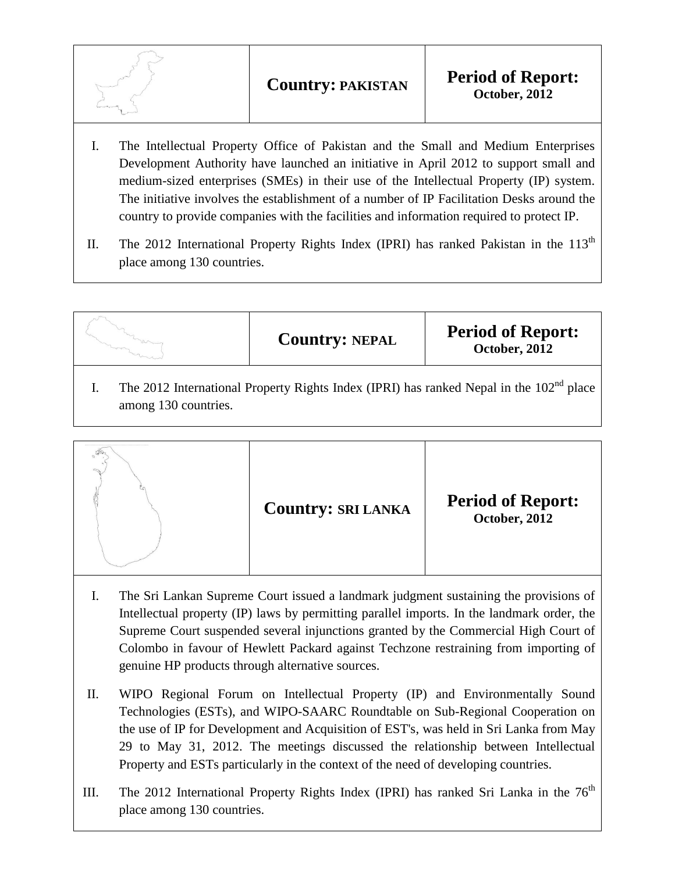- I. The Intellectual Property Office of Pakistan and the Small and Medium Enterprises Development Authority have launched an initiative in April 2012 to support small and medium-sized enterprises (SMEs) in their use of the Intellectual Property (IP) system. The initiative involves the establishment of a number of IP Facilitation Desks around the country to provide companies with the facilities and information required to protect IP.
- II. The 2012 International Property Rights Index (IPRI) has ranked Pakistan in the  $113<sup>th</sup>$ place among 130 countries.



I. The 2012 International Property Rights Index (IPRI) has ranked Nepal in the  $102<sup>nd</sup>$  place among 130 countries.



- I. The Sri Lankan Supreme Court issued a landmark judgment sustaining the provisions of Intellectual property (IP) laws by permitting parallel imports. In the landmark order, the Supreme Court suspended several injunctions granted by the Commercial High Court of Colombo in favour of Hewlett Packard against Techzone restraining from importing of genuine HP products through alternative sources.
- II. WIPO Regional Forum on Intellectual Property (IP) and Environmentally Sound Technologies (ESTs), and WIPO-SAARC Roundtable on Sub-Regional Cooperation on the use of IP for Development and Acquisition of EST's, was held in Sri Lanka from May 29 to May 31, 2012. The meetings discussed the relationship between Intellectual Property and ESTs particularly in the context of the need of developing countries.
- III. The 2012 International Property Rights Index (IPRI) has ranked Sri Lanka in the  $76<sup>th</sup>$ place among 130 countries.